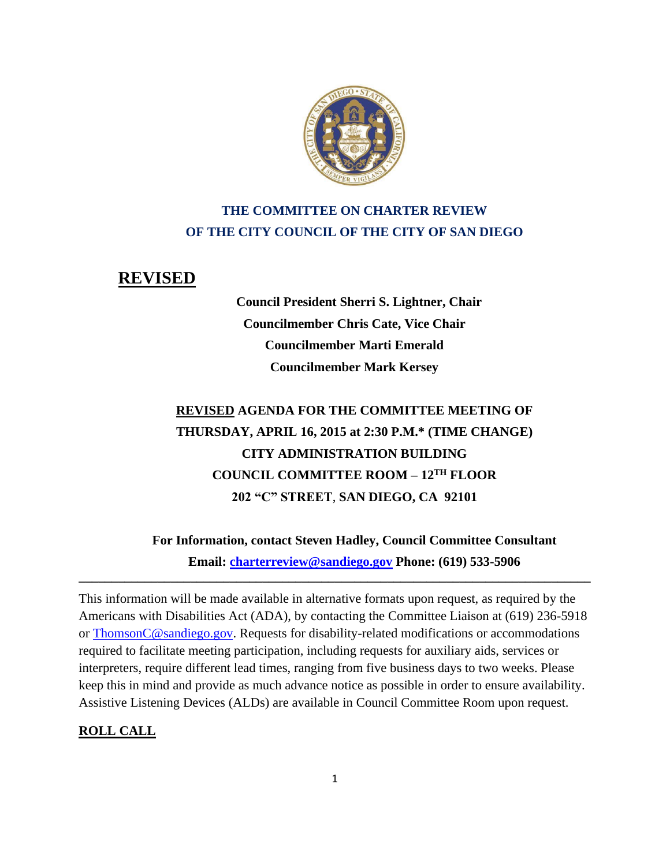

# **THE COMMITTEE ON CHARTER REVIEW OF THE CITY COUNCIL OF THE CITY OF SAN DIEGO**

## **REVISED**

**Council President Sherri S. Lightner, Chair Councilmember Chris Cate, Vice Chair Councilmember Marti Emerald Councilmember Mark Kersey**

# **REVISED AGENDA FOR THE COMMITTEE MEETING OF THURSDAY, APRIL 16, 2015 at 2:30 P.M.\* (TIME CHANGE) CITY ADMINISTRATION BUILDING COUNCIL COMMITTEE ROOM – 12TH FLOOR 202 "C" STREET**, **SAN DIEGO, CA 92101**

**For Information, contact Steven Hadley, Council Committee Consultant Email: [charterreview@sandiego.gov](mailto:charterreview@sandiego.gov) Phone: (619) 533-5906** 

This information will be made available in alternative formats upon request, as required by the Americans with Disabilities Act (ADA), by contacting the Committee Liaison at (619) 236-5918 or ThomsonC@sandiego.gov. Requests for disability-related modifications or accommodations required to facilitate meeting participation, including requests for auxiliary aids, services or interpreters, require different lead times, ranging from five business days to two weeks. Please keep this in mind and provide as much advance notice as possible in order to ensure availability. Assistive Listening Devices (ALDs) are available in Council Committee Room upon request.

**\_\_\_\_\_\_\_\_\_\_\_\_\_\_\_\_\_\_\_\_\_\_\_\_\_\_\_\_\_\_\_\_\_\_\_\_\_\_\_\_\_\_\_\_\_\_\_\_\_\_\_\_\_\_\_\_\_\_\_\_\_\_\_\_\_\_\_\_\_\_\_\_\_\_\_\_\_\_**

#### **ROLL CALL**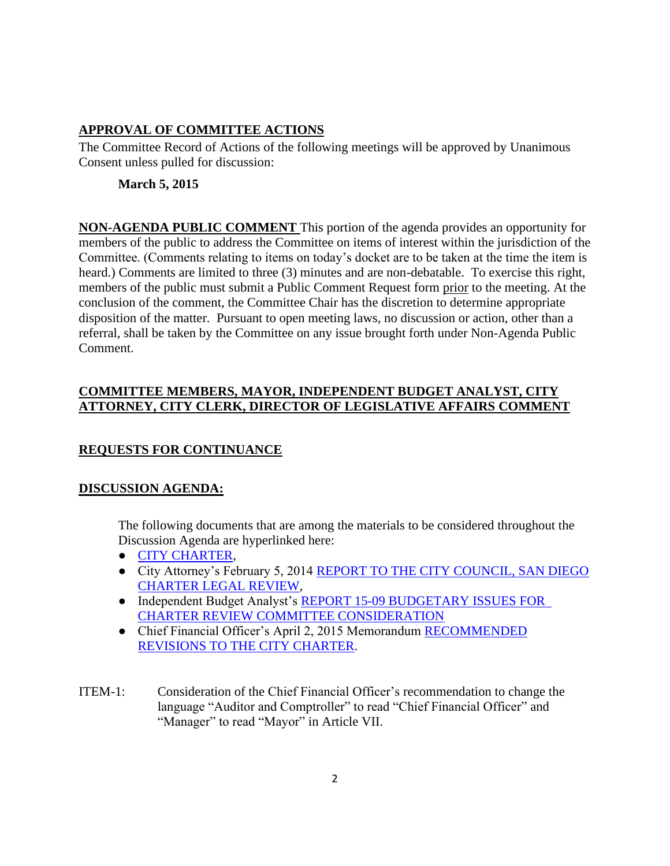#### **APPROVAL OF COMMITTEE ACTIONS**

The Committee Record of Actions of the following meetings will be approved by Unanimous Consent unless pulled for discussion:

#### **March 5, 2015**

**NON-AGENDA PUBLIC COMMENT** This portion of the agenda provides an opportunity for members of the public to address the Committee on items of interest within the jurisdiction of the Committee. (Comments relating to items on today's docket are to be taken at the time the item is heard.) Comments are limited to three (3) minutes and are non-debatable. To exercise this right, members of the public must submit a Public Comment Request form prior to the meeting. At the conclusion of the comment, the Committee Chair has the discretion to determine appropriate disposition of the matter. Pursuant to open meeting laws, no discussion or action, other than a referral, shall be taken by the Committee on any issue brought forth under Non-Agenda Public Comment.

#### **COMMITTEE MEMBERS, MAYOR, INDEPENDENT BUDGET ANALYST, CITY ATTORNEY, CITY CLERK, DIRECTOR OF LEGISLATIVE AFFAIRS COMMENT**

## **REQUESTS FOR CONTINUANCE**

## **DISCUSSION AGENDA:**

The following documents that are among the materials to be considered throughout the Discussion Agenda are hyperlinked here:

- [CITY CHARTER,](http://www.sandiego.gov/city-clerk/officialdocs/legisdocs/charter.shtml)
- City Attorney's February 5, 2014 [REPORT TO THE CITY COUNCIL, SAN DIEGO](http://docs.sandiego.gov/councilcomm_agendas_attach/2015/cr_150416_ca.pdf) [CHARTER LEGAL REVIEW,](http://docs.sandiego.gov/councilcomm_agendas_attach/2015/cr_150416_ca.pdf)
- Independent Budget Analyst's REPORT 15-09 [BUDGETARY ISSUES FOR](http://docs.sandiego.gov/councilcomm_agendas_attach/2015/cr_150416_iba.pdf)  [CHARTER REVIEW COMMITTEE CONSIDERATION](http://docs.sandiego.gov/councilcomm_agendas_attach/2015/cr_150416_iba.pdf)
- Chief Financial Officer's April 2, 2015 Memorandum [RECOMMENDED](http://docs.sandiego.gov/councilcomm_agendas_attach/2015/cr_150416_cfo.pdf)  [REVISIONS TO THE CITY CHARTER.](http://docs.sandiego.gov/councilcomm_agendas_attach/2015/cr_150416_cfo.pdf)
- ITEM-1: Consideration of the Chief Financial Officer's recommendation to change the language "Auditor and Comptroller" to read "Chief Financial Officer" and "Manager" to read "Mayor" in Article VII.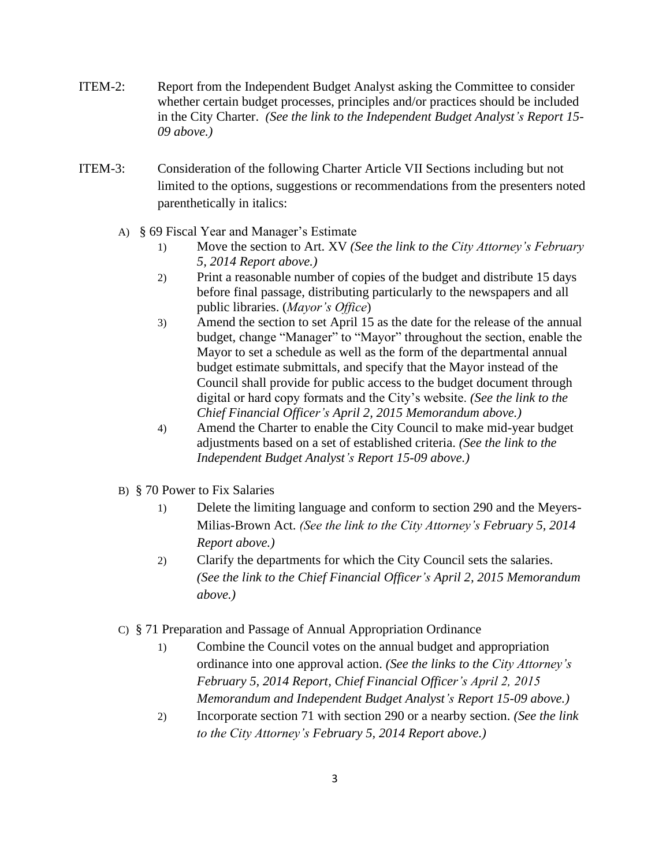- ITEM-2: Report from the Independent Budget Analyst asking the Committee to consider whether certain budget processes, principles and/or practices should be included in the City Charter. *(See the link to the Independent Budget Analyst's Report 15- 09 above.)*
- ITEM-3: Consideration of the following Charter Article VII Sections including but not limited to the options, suggestions or recommendations from the presenters noted parenthetically in italics:
	- A) § 69 Fiscal Year and Manager's Estimate
		- 1) Move the section to Art. XV *(See the link to the City Attorney's February 5, 2014 Report above.)*
		- 2) Print a reasonable number of copies of the budget and distribute 15 days before final passage, distributing particularly to the newspapers and all public libraries. (*Mayor's Office*)
		- 3) Amend the section to set April 15 as the date for the release of the annual budget, change "Manager" to "Mayor" throughout the section, enable the Mayor to set a schedule as well as the form of the departmental annual budget estimate submittals, and specify that the Mayor instead of the Council shall provide for public access to the budget document through digital or hard copy formats and the City's website. *(See the link to the Chief Financial Officer's April 2, 2015 Memorandum above.)*
		- 4) Amend the Charter to enable the City Council to make mid-year budget adjustments based on a set of established criteria. *(See the link to the Independent Budget Analyst's Report 15-09 above.)*
	- B) § 70 Power to Fix Salaries
		- 1) Delete the limiting language and conform to section 290 and the Meyers-Milias-Brown Act. *(See the link to the City Attorney's February 5, 2014 Report above.)*
		- 2) Clarify the departments for which the City Council sets the salaries. *(See the link to the Chief Financial Officer's April 2, 2015 Memorandum above.)*
	- C) § 71 Preparation and Passage of Annual Appropriation Ordinance
		- 1) Combine the Council votes on the annual budget and appropriation ordinance into one approval action. *(See the links to the City Attorney's February 5, 2014 Report, Chief Financial Officer's April 2, 2015 Memorandum and Independent Budget Analyst's Report 15-09 above.)*
		- 2) Incorporate section 71 with section 290 or a nearby section. *(See the link to the City Attorney's February 5, 2014 Report above.)*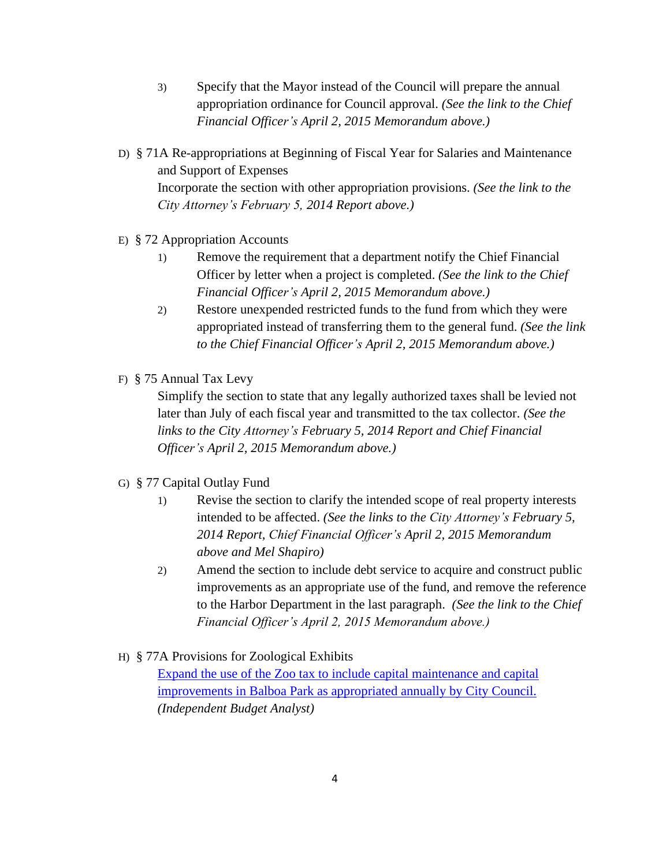- 3) Specify that the Mayor instead of the Council will prepare the annual appropriation ordinance for Council approval. *(See the link to the Chief Financial Officer's April 2, 2015 Memorandum above.)*
- D) § 71A Re-appropriations at Beginning of Fiscal Year for Salaries and Maintenance and Support of Expenses Incorporate the section with other appropriation provisions. *(See the link to the City Attorney's February 5, 2014 Report above.)*
- E) § 72 Appropriation Accounts
	- 1) Remove the requirement that a department notify the Chief Financial Officer by letter when a project is completed. *(See the link to the Chief Financial Officer's April 2, 2015 Memorandum above.)*
	- 2) Restore unexpended restricted funds to the fund from which they were appropriated instead of transferring them to the general fund. *(See the link to the Chief Financial Officer's April 2, 2015 Memorandum above.)*
- F) § 75 Annual Tax Levy

Simplify the section to state that any legally authorized taxes shall be levied not later than July of each fiscal year and transmitted to the tax collector. *(See the links to the City Attorney's February 5, 2014 Report and Chief Financial Officer's April 2, 2015 Memorandum above.)*

- G) § 77 Capital Outlay Fund
	- 1) Revise the section to clarify the intended scope of real property interests intended to be affected. *(See the links to the City Attorney's February 5, 2014 Report, Chief Financial Officer's April 2, 2015 Memorandum above and Mel Shapiro)*
	- 2) Amend the section to include debt service to acquire and construct public improvements as an appropriate use of the fund, and remove the reference to the Harbor Department in the last paragraph. *(See the link to the Chief Financial Officer's April 2, 2015 Memorandum above.)*
- H) § 77A Provisions for Zoological Exhibits

[Expand the use of the Zoo tax to include capital maintenance and capital](http://docs.sandiego.gov/councilcomm_agendas_attach/2015/cr_150416_3h.pdf) [improvements in Balboa Park as appropriated annually by City Council.](http://docs.sandiego.gov/councilcomm_agendas_attach/2015/cr_150416_3h.pdf) *(Independent Budget Analyst)*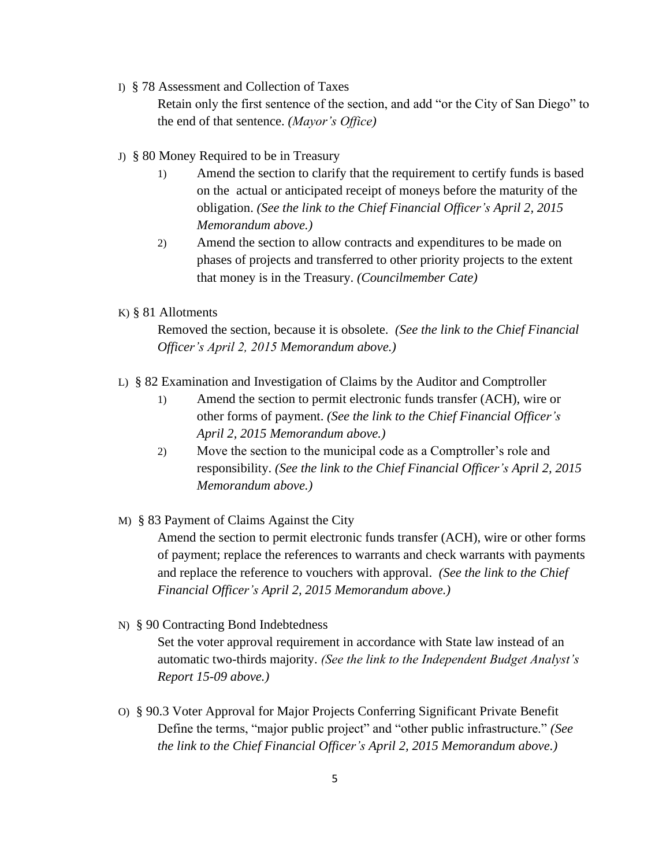I) § 78 Assessment and Collection of Taxes

Retain only the first sentence of the section, and add "or the City of San Diego" to the end of that sentence. *(Mayor's Office)*

- J) § 80 Money Required to be in Treasury
	- 1) Amend the section to clarify that the requirement to certify funds is based on the actual or anticipated receipt of moneys before the maturity of the obligation. *(See the link to the Chief Financial Officer's April 2, 2015 Memorandum above.)*
	- 2) Amend the section to allow contracts and expenditures to be made on phases of projects and transferred to other priority projects to the extent that money is in the Treasury. *(Councilmember Cate)*

#### K) § 81 Allotments

Removed the section, because it is obsolete. *(See the link to the Chief Financial Officer's April 2, 2015 Memorandum above.)*

- L) § 82 Examination and Investigation of Claims by the Auditor and Comptroller
	- 1) Amend the section to permit electronic funds transfer (ACH), wire or other forms of payment. *(See the link to the Chief Financial Officer's April 2, 2015 Memorandum above.)*
	- 2) Move the section to the municipal code as a Comptroller's role and responsibility. *(See the link to the Chief Financial Officer's April 2, 2015 Memorandum above.)*
- M) § 83 Payment of Claims Against the City

Amend the section to permit electronic funds transfer (ACH), wire or other forms of payment; replace the references to warrants and check warrants with payments and replace the reference to vouchers with approval. *(See the link to the Chief Financial Officer's April 2, 2015 Memorandum above.)*

N) § 90 Contracting Bond Indebtedness

Set the voter approval requirement in accordance with State law instead of an automatic two-thirds majority. *(See the link to the Independent Budget Analyst's Report 15-09 above.)*

O) § 90.3 Voter Approval for Major Projects Conferring Significant Private Benefit Define the terms, "major public project" and "other public infrastructure." *(See the link to the Chief Financial Officer's April 2, 2015 Memorandum above.)*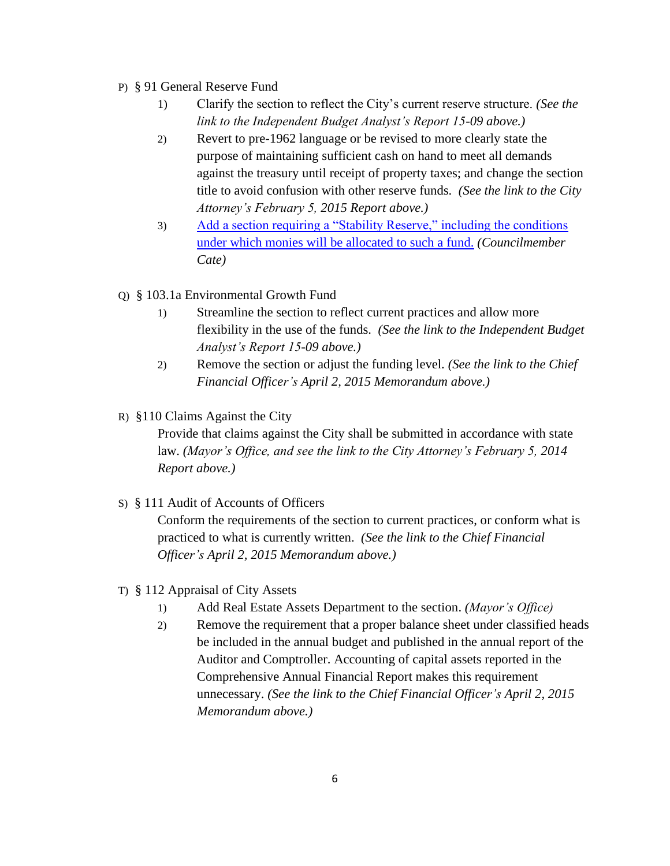#### P) § 91 General Reserve Fund

- 1) Clarify the section to reflect the City's current reserve structure. *(See the link to the Independent Budget Analyst's Report 15-09 above.)*
- 2) Revert to pre-1962 language or be revised to more clearly state the purpose of maintaining sufficient cash on hand to meet all demands against the treasury until receipt of property taxes; and change the section title to avoid confusion with other reserve funds. *(See the link to the City Attorney's February 5, 2015 Report above.)*
- 3) [Add a section requiring a "Stability Reserve," including the conditions](http://docs.sandiego.gov/councilcomm_agendas_attach/2015/cr_150416_3p.pdf)  [under which monies will be allocated to such a fund.](http://docs.sandiego.gov/councilcomm_agendas_attach/2015/cr_150416_3p.pdf) *(Councilmember Cate)*
- Q) § 103.1a Environmental Growth Fund
	- 1) Streamline the section to reflect current practices and allow more flexibility in the use of the funds. *(See the link to the Independent Budget Analyst's Report 15-09 above.)*
	- 2) Remove the section or adjust the funding level. *(See the link to the Chief Financial Officer's April 2, 2015 Memorandum above.)*
- R) §110 Claims Against the City

Provide that claims against the City shall be submitted in accordance with state law. *(Mayor's Office, and see the link to the City Attorney's February 5, 2014 Report above.)*

S) § 111 Audit of Accounts of Officers

Conform the requirements of the section to current practices, or conform what is practiced to what is currently written. *(See the link to the Chief Financial Officer's April 2, 2015 Memorandum above.)*

- T) § 112 Appraisal of City Assets
	- 1) Add Real Estate Assets Department to the section. *(Mayor's Office)*
	- 2) Remove the requirement that a proper balance sheet under classified heads be included in the annual budget and published in the annual report of the Auditor and Comptroller. Accounting of capital assets reported in the Comprehensive Annual Financial Report makes this requirement unnecessary. *(See the link to the Chief Financial Officer's April 2, 2015 Memorandum above.)*